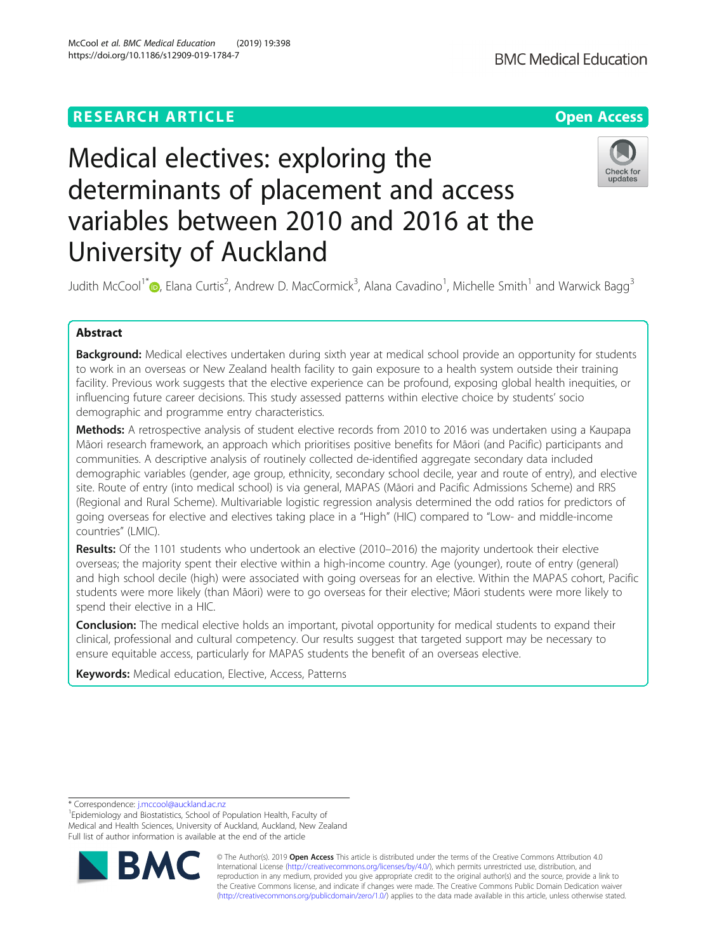# **RESEARCH ARTICLE Example 2014 12:30 The Contract of Contract ACCESS**



# Medical electives: exploring the determinants of placement and access variables between 2010 and 2016 at the University of Auckland



Judith McCool<sup>1\*</sup> (D[,](http://orcid.org/0000-0001-6646-6661) Elana Curtis<sup>2</sup>, Andrew D. MacCormick<sup>3</sup>, Alana Cavadino<sup>1</sup>, Michelle Smith<sup>1</sup> and Warwick Bagg<sup>3</sup>

## Abstract

Background: Medical electives undertaken during sixth year at medical school provide an opportunity for students to work in an overseas or New Zealand health facility to gain exposure to a health system outside their training facility. Previous work suggests that the elective experience can be profound, exposing global health inequities, or influencing future career decisions. This study assessed patterns within elective choice by students' socio demographic and programme entry characteristics.

**Methods:** A retrospective analysis of student elective records from 2010 to 2016 was undertaken using a Kaupapa Māori research framework, an approach which prioritises positive benefits for Māori (and Pacific) participants and communities. A descriptive analysis of routinely collected de-identified aggregate secondary data included demographic variables (gender, age group, ethnicity, secondary school decile, year and route of entry), and elective site. Route of entry (into medical school) is via general, MAPAS (Māori and Pacific Admissions Scheme) and RRS (Regional and Rural Scheme). Multivariable logistic regression analysis determined the odd ratios for predictors of going overseas for elective and electives taking place in a "High" (HIC) compared to "Low- and middle-income countries" (LMIC).

Results: Of the 1101 students who undertook an elective (2010–2016) the majority undertook their elective overseas; the majority spent their elective within a high-income country. Age (younger), route of entry (general) and high school decile (high) were associated with going overseas for an elective. Within the MAPAS cohort, Pacific students were more likely (than Māori) were to go overseas for their elective; Māori students were more likely to spend their elective in a HIC.

**Conclusion:** The medical elective holds an important, pivotal opportunity for medical students to expand their clinical, professional and cultural competency. Our results suggest that targeted support may be necessary to ensure equitable access, particularly for MAPAS students the benefit of an overseas elective.

Keywords: Medical education, Elective, Access, Patterns

\* Correspondence: [j.mccool@auckland.ac.nz](mailto:j.mccool@auckland.ac.nz) <sup>1</sup>

<sup>1</sup> Epidemiology and Biostatistics, School of Population Health, Faculty of Medical and Health Sciences, University of Auckland, Auckland, New Zealand Full list of author information is available at the end of the article



© The Author(s). 2019 **Open Access** This article is distributed under the terms of the Creative Commons Attribution 4.0 International License [\(http://creativecommons.org/licenses/by/4.0/](http://creativecommons.org/licenses/by/4.0/)), which permits unrestricted use, distribution, and reproduction in any medium, provided you give appropriate credit to the original author(s) and the source, provide a link to the Creative Commons license, and indicate if changes were made. The Creative Commons Public Domain Dedication waiver [\(http://creativecommons.org/publicdomain/zero/1.0/](http://creativecommons.org/publicdomain/zero/1.0/)) applies to the data made available in this article, unless otherwise stated.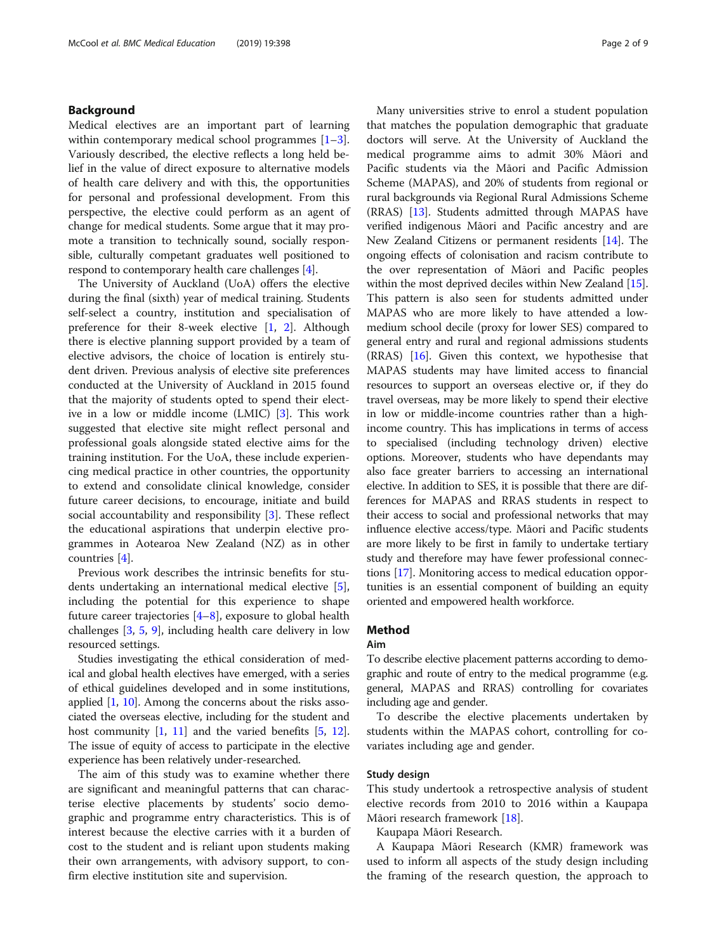### Background

Medical electives are an important part of learning within contemporary medical school programmes [\[1](#page-8-0)–[3](#page-8-0)]. Variously described, the elective reflects a long held belief in the value of direct exposure to alternative models of health care delivery and with this, the opportunities for personal and professional development. From this perspective, the elective could perform as an agent of change for medical students. Some argue that it may promote a transition to technically sound, socially responsible, culturally competant graduates well positioned to respond to contemporary health care challenges [\[4\]](#page-8-0).

The University of Auckland (UoA) offers the elective during the final (sixth) year of medical training. Students self-select a country, institution and specialisation of preference for their 8-week elective [[1,](#page-8-0) [2\]](#page-8-0). Although there is elective planning support provided by a team of elective advisors, the choice of location is entirely student driven. Previous analysis of elective site preferences conducted at the University of Auckland in 2015 found that the majority of students opted to spend their elective in a low or middle income (LMIC) [\[3](#page-8-0)]. This work suggested that elective site might reflect personal and professional goals alongside stated elective aims for the training institution. For the UoA, these include experiencing medical practice in other countries, the opportunity to extend and consolidate clinical knowledge, consider future career decisions, to encourage, initiate and build social accountability and responsibility [\[3](#page-8-0)]. These reflect the educational aspirations that underpin elective programmes in Aotearoa New Zealand (NZ) as in other countries [[4\]](#page-8-0).

Previous work describes the intrinsic benefits for students undertaking an international medical elective [\[5](#page-8-0)], including the potential for this experience to shape future career trajectories [\[4](#page-8-0)–[8](#page-8-0)], exposure to global health challenges [\[3](#page-8-0), [5](#page-8-0), [9\]](#page-8-0), including health care delivery in low resourced settings.

Studies investigating the ethical consideration of medical and global health electives have emerged, with a series of ethical guidelines developed and in some institutions, applied [[1,](#page-8-0) [10](#page-8-0)]. Among the concerns about the risks associated the overseas elective, including for the student and host community  $[1, 11]$  $[1, 11]$  $[1, 11]$  $[1, 11]$  and the varied benefits  $[5, 12]$  $[5, 12]$  $[5, 12]$  $[5, 12]$ . The issue of equity of access to participate in the elective experience has been relatively under-researched.

The aim of this study was to examine whether there are significant and meaningful patterns that can characterise elective placements by students' socio demographic and programme entry characteristics. This is of interest because the elective carries with it a burden of cost to the student and is reliant upon students making their own arrangements, with advisory support, to confirm elective institution site and supervision.

Many universities strive to enrol a student population that matches the population demographic that graduate doctors will serve. At the University of Auckland the medical programme aims to admit 30% Māori and Pacific students via the Māori and Pacific Admission Scheme (MAPAS), and 20% of students from regional or rural backgrounds via Regional Rural Admissions Scheme (RRAS) [\[13\]](#page-8-0). Students admitted through MAPAS have verified indigenous Māori and Pacific ancestry and are New Zealand Citizens or permanent residents [\[14](#page-8-0)]. The ongoing effects of colonisation and racism contribute to the over representation of Māori and Pacific peoples within the most deprived deciles within New Zealand [[15](#page-8-0)]. This pattern is also seen for students admitted under MAPAS who are more likely to have attended a lowmedium school decile (proxy for lower SES) compared to general entry and rural and regional admissions students (RRAS) [[16](#page-8-0)]. Given this context, we hypothesise that MAPAS students may have limited access to financial resources to support an overseas elective or, if they do travel overseas, may be more likely to spend their elective in low or middle-income countries rather than a highincome country. This has implications in terms of access to specialised (including technology driven) elective options. Moreover, students who have dependants may also face greater barriers to accessing an international elective. In addition to SES, it is possible that there are differences for MAPAS and RRAS students in respect to their access to social and professional networks that may influence elective access/type. Māori and Pacific students are more likely to be first in family to undertake tertiary study and therefore may have fewer professional connections [\[17\]](#page-8-0). Monitoring access to medical education opportunities is an essential component of building an equity oriented and empowered health workforce.

## Method

#### Aim

To describe elective placement patterns according to demographic and route of entry to the medical programme (e.g. general, MAPAS and RRAS) controlling for covariates including age and gender.

To describe the elective placements undertaken by students within the MAPAS cohort, controlling for covariates including age and gender.

#### Study design

This study undertook a retrospective analysis of student elective records from 2010 to 2016 within a Kaupapa Māori research framework [[18\]](#page-8-0).

Kaupapa Māori Research.

A Kaupapa Māori Research (KMR) framework was used to inform all aspects of the study design including the framing of the research question, the approach to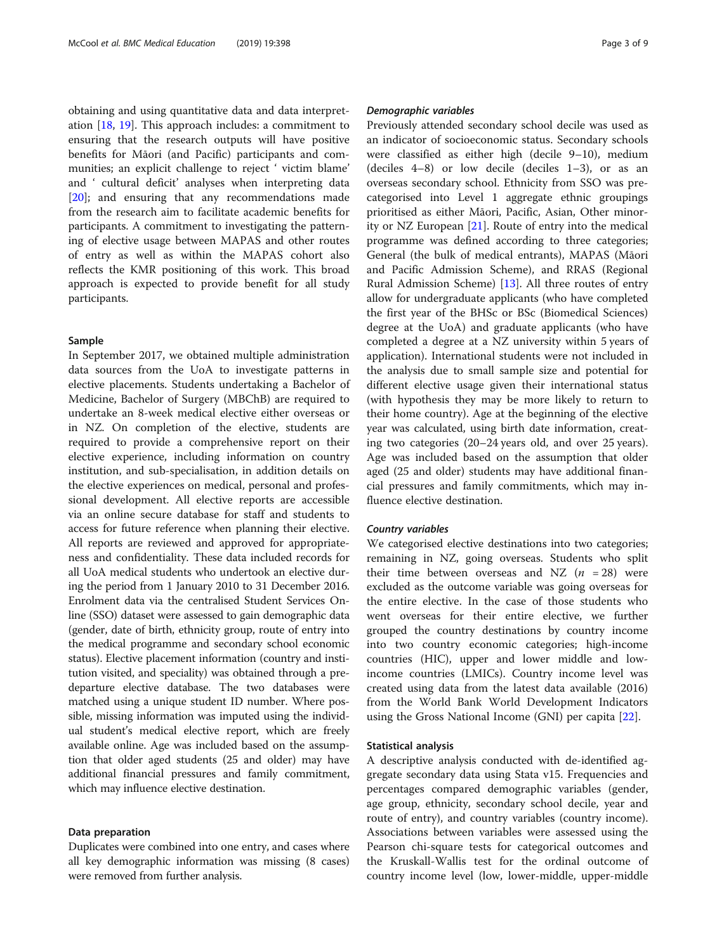obtaining and using quantitative data and data interpretation [[18,](#page-8-0) [19\]](#page-8-0). This approach includes: a commitment to ensuring that the research outputs will have positive benefits for Māori (and Pacific) participants and communities; an explicit challenge to reject ' victim blame' and ' cultural deficit' analyses when interpreting data [[20\]](#page-8-0); and ensuring that any recommendations made from the research aim to facilitate academic benefits for participants. A commitment to investigating the patterning of elective usage between MAPAS and other routes of entry as well as within the MAPAS cohort also reflects the KMR positioning of this work. This broad approach is expected to provide benefit for all study participants.

#### Sample

In September 2017, we obtained multiple administration data sources from the UoA to investigate patterns in elective placements. Students undertaking a Bachelor of Medicine, Bachelor of Surgery (MBChB) are required to undertake an 8-week medical elective either overseas or in NZ. On completion of the elective, students are required to provide a comprehensive report on their elective experience, including information on country institution, and sub-specialisation, in addition details on the elective experiences on medical, personal and professional development. All elective reports are accessible via an online secure database for staff and students to access for future reference when planning their elective. All reports are reviewed and approved for appropriateness and confidentiality. These data included records for all UoA medical students who undertook an elective during the period from 1 January 2010 to 31 December 2016. Enrolment data via the centralised Student Services Online (SSO) dataset were assessed to gain demographic data (gender, date of birth, ethnicity group, route of entry into the medical programme and secondary school economic status). Elective placement information (country and institution visited, and speciality) was obtained through a predeparture elective database. The two databases were matched using a unique student ID number. Where possible, missing information was imputed using the individual student's medical elective report, which are freely available online. Age was included based on the assumption that older aged students (25 and older) may have additional financial pressures and family commitment, which may influence elective destination.

#### Data preparation

Duplicates were combined into one entry, and cases where all key demographic information was missing (8 cases) were removed from further analysis.

Previously attended secondary school decile was used as an indicator of socioeconomic status. Secondary schools were classified as either high (decile 9–10), medium (deciles 4–8) or low decile (deciles 1–3), or as an overseas secondary school. Ethnicity from SSO was precategorised into Level 1 aggregate ethnic groupings prioritised as either Māori, Pacific, Asian, Other minority or NZ European [[21](#page-8-0)]. Route of entry into the medical programme was defined according to three categories; General (the bulk of medical entrants), MAPAS (Māori and Pacific Admission Scheme), and RRAS (Regional Rural Admission Scheme) [[13](#page-8-0)]. All three routes of entry allow for undergraduate applicants (who have completed the first year of the BHSc or BSc (Biomedical Sciences) degree at the UoA) and graduate applicants (who have completed a degree at a NZ university within 5 years of application). International students were not included in the analysis due to small sample size and potential for different elective usage given their international status (with hypothesis they may be more likely to return to their home country). Age at the beginning of the elective year was calculated, using birth date information, creating two categories (20–24 years old, and over 25 years). Age was included based on the assumption that older aged (25 and older) students may have additional financial pressures and family commitments, which may influence elective destination.

We categorised elective destinations into two categories; remaining in NZ, going overseas. Students who split their time between overseas and NZ  $(n = 28)$  were excluded as the outcome variable was going overseas for the entire elective. In the case of those students who went overseas for their entire elective, we further grouped the country destinations by country income into two country economic categories; high-income countries (HIC), upper and lower middle and lowincome countries (LMICs). Country income level was created using data from the latest data available (2016) from the World Bank World Development Indicators using the Gross National Income (GNI) per capita [\[22](#page-8-0)].

#### Statistical analysis

A descriptive analysis conducted with de-identified aggregate secondary data using Stata v15. Frequencies and percentages compared demographic variables (gender, age group, ethnicity, secondary school decile, year and route of entry), and country variables (country income). Associations between variables were assessed using the Pearson chi-square tests for categorical outcomes and the Kruskall-Wallis test for the ordinal outcome of country income level (low, lower-middle, upper-middle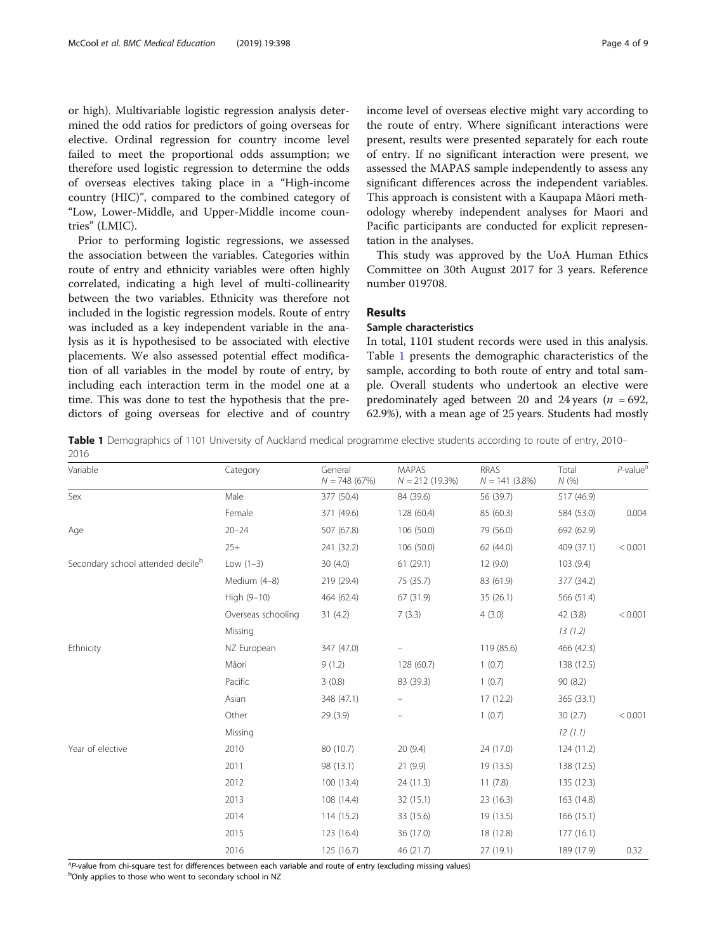or high). Multivariable logistic regression analysis determined the odd ratios for predictors of going overseas for elective. Ordinal regression for country income level failed to meet the proportional odds assumption; we therefore used logistic regression to determine the odds of overseas electives taking place in a "High-income country (HIC)", compared to the combined category of "Low, Lower-Middle, and Upper-Middle income countries" (LMIC).

Prior to performing logistic regressions, we assessed the association between the variables. Categories within route of entry and ethnicity variables were often highly correlated, indicating a high level of multi-collinearity between the two variables. Ethnicity was therefore not included in the logistic regression models. Route of entry was included as a key independent variable in the analysis as it is hypothesised to be associated with elective placements. We also assessed potential effect modification of all variables in the model by route of entry, by including each interaction term in the model one at a time. This was done to test the hypothesis that the predictors of going overseas for elective and of country income level of overseas elective might vary according to the route of entry. Where significant interactions were present, results were presented separately for each route of entry. If no significant interaction were present, we assessed the MAPAS sample independently to assess any significant differences across the independent variables. This approach is consistent with a Kaupapa Māori methodology whereby independent analyses for Maori and Pacific participants are conducted for explicit representation in the analyses.

This study was approved by the UoA Human Ethics Committee on 30th August 2017 for 3 years. Reference number 019708.

#### Results

### Sample characteristics

In total, 1101 student records were used in this analysis. Table 1 presents the demographic characteristics of the sample, according to both route of entry and total sample. Overall students who undertook an elective were predominately aged between 20 and 24 years ( $n = 692$ , 62.9%), with a mean age of 25 years. Students had mostly

Table 1 Demographics of 1101 University of Auckland medical programme elective students according to route of entry, 2010– 2016

| Variable                                      | Category           | General<br>$N = 748(67%)$ | MAPAS<br>$N = 212(19.3\%)$ | <b>RRAS</b><br>$N = 141(3.8%)$ | Total<br>N(% | $P$ -value <sup>a</sup> |
|-----------------------------------------------|--------------------|---------------------------|----------------------------|--------------------------------|--------------|-------------------------|
| Sex                                           | Male               | 377 (50.4)                | 84 (39.6)                  | 56 (39.7)                      | 517 (46.9)   |                         |
|                                               | Female             | 371 (49.6)                | 128 (60.4)                 | 85 (60.3)                      | 584 (53.0)   | 0.004                   |
| Age                                           | $20 - 24$          | 507 (67.8)                | 106 (50.0)                 | 79 (56.0)                      | 692 (62.9)   |                         |
|                                               | $25+$              | 241 (32.2)                | 106 (50.0)                 | 62 (44.0)                      | 409 (37.1)   | < 0.001                 |
| Secondary school attended decile <sup>b</sup> | Low $(1-3)$        | 30(4.0)                   | 61(29.1)                   | 12(9.0)                        | 103(9.4)     |                         |
|                                               | Medium (4-8)       | 219 (29.4)                | 75 (35.7)                  | 83 (61.9)                      | 377 (34.2)   |                         |
|                                               | High (9-10)        | 464 (62.4)                | 67 (31.9)                  | 35(26.1)                       | 566 (51.4)   |                         |
|                                               | Overseas schooling | 31(4.2)                   | 7(3.3)                     | 4(3.0)                         | 42 (3.8)     | < 0.001                 |
|                                               | Missing            |                           |                            |                                | 13(1.2)      |                         |
| Ethnicity                                     | NZ European        | 347 (47.0)                |                            | 119 (85.6)                     | 466 (42.3)   |                         |
|                                               | Māori              | 9(1.2)                    | 128 (60.7)                 | 1(0.7)                         | 138 (12.5)   |                         |
|                                               | Pacific            | 3(0.8)                    | 83 (39.3)                  | 1(0.7)                         | 90(8.2)      |                         |
|                                               | Asian              | 348 (47.1)                |                            | 17(12.2)                       | 365 (33.1)   |                         |
|                                               | Other              | 29 (3.9)                  |                            | 1(0.7)                         | 30(2.7)      | < 0.001                 |
|                                               | Missing            |                           |                            |                                | 12(1.1)      |                         |
| Year of elective                              | 2010               | 80 (10.7)                 | 20(9.4)                    | 24 (17.0)                      | 124 (11.2)   |                         |
|                                               | 2011               | 98 (13.1)                 | 21(9.9)                    | 19 (13.5)                      | 138 (12.5)   |                         |
|                                               | 2012               | 100 (13.4)                | 24 (11.3)                  | 11(7.8)                        | 135 (12.3)   |                         |
|                                               | 2013               | 108 (14.4)                | 32 (15.1)                  | 23(16.3)                       | 163 (14.8)   |                         |
|                                               | 2014               | 114 (15.2)                | 33 (15.6)                  | 19 (13.5)                      | 166 (15.1)   |                         |
|                                               | 2015               | 123 (16.4)                | 36 (17.0)                  | 18 (12.8)                      | 177(16.1)    |                         |
|                                               | 2016               | 125 (16.7)                | 46 (21.7)                  | 27 (19.1)                      | 189 (17.9)   | 0.32                    |

<sup>a</sup>P-value from chi-square test for differences between each variable and route of entry (excluding missing values)<br><sup>b</sup>Oply applies to those who went to secondary school in N7

<sup>b</sup>Only applies to those who went to secondary school in NZ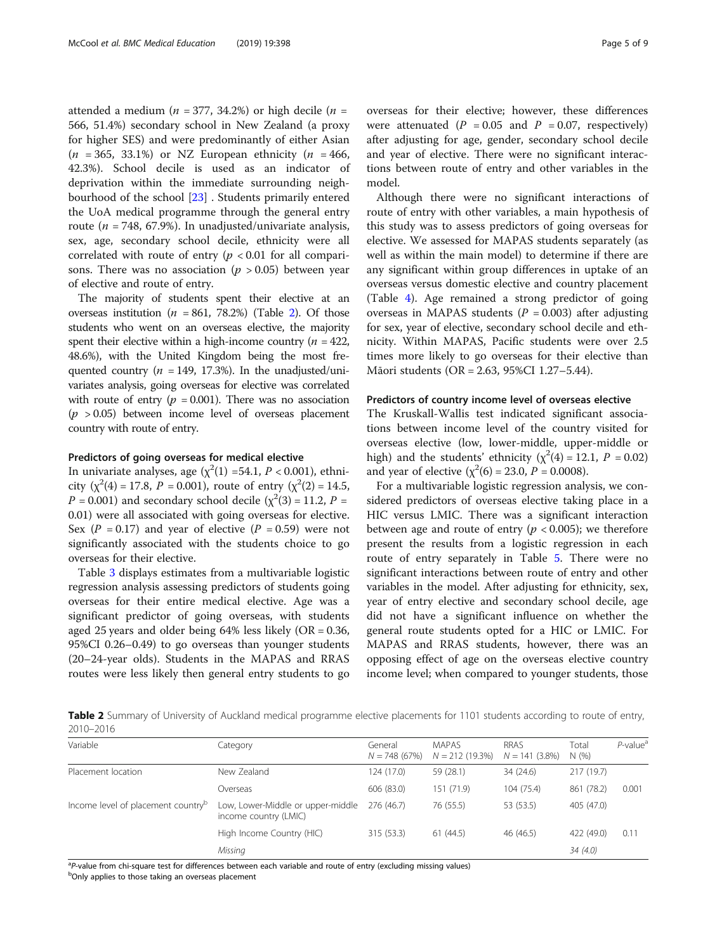attended a medium ( $n = 377, 34.2%$ ) or high decile ( $n =$ 566, 51.4%) secondary school in New Zealand (a proxy for higher SES) and were predominantly of either Asian  $(n = 365, 33.1\%)$  or NZ European ethnicity  $(n = 466,$ 42.3%). School decile is used as an indicator of deprivation within the immediate surrounding neighbourhood of the school [\[23](#page-8-0)] . Students primarily entered the UoA medical programme through the general entry route ( $n = 748, 67.9\%$ ). In unadjusted/univariate analysis, sex, age, secondary school decile, ethnicity were all correlated with route of entry ( $p < 0.01$  for all comparisons. There was no association ( $p > 0.05$ ) between year of elective and route of entry.

The majority of students spent their elective at an overseas institution ( $n = 861, 78.2%$ ) (Table 2). Of those students who went on an overseas elective, the majority spent their elective within a high-income country ( $n = 422$ , 48.6%), with the United Kingdom being the most frequented country ( $n = 149, 17.3\%$ ). In the unadjusted/univariates analysis, going overseas for elective was correlated with route of entry ( $p = 0.001$ ). There was no association  $(p > 0.05)$  between income level of overseas placement country with route of entry.

#### Predictors of going overseas for medical elective

In univariate analyses, age  $(\chi^2(1) = 54.1, P < 0.001)$ , ethnicity ( $\chi^2(4) = 17.8$ ,  $P = 0.001$ ), route of entry ( $\chi^2(2) = 14.5$ ,  $P = 0.001$ ) and secondary school decile ( $\chi^2(3) = 11.2$ ,  $P =$ 0.01) were all associated with going overseas for elective. Sex ( $P = 0.17$ ) and year of elective ( $P = 0.59$ ) were not significantly associated with the students choice to go overseas for their elective.

Table [3](#page-5-0) displays estimates from a multivariable logistic regression analysis assessing predictors of students going overseas for their entire medical elective. Age was a significant predictor of going overseas, with students aged 25 years and older being  $64\%$  less likely (OR = 0.36, 95%CI 0.26–0.49) to go overseas than younger students (20–24-year olds). Students in the MAPAS and RRAS routes were less likely then general entry students to go were attenuated ( $P = 0.05$  and  $P = 0.07$ , respectively) after adjusting for age, gender, secondary school decile and year of elective. There were no significant interactions between route of entry and other variables in the model.

Although there were no significant interactions of route of entry with other variables, a main hypothesis of this study was to assess predictors of going overseas for elective. We assessed for MAPAS students separately (as well as within the main model) to determine if there are any significant within group differences in uptake of an overseas versus domestic elective and country placement (Table [4](#page-5-0)). Age remained a strong predictor of going overseas in MAPAS students ( $P = 0.003$ ) after adjusting for sex, year of elective, secondary school decile and ethnicity. Within MAPAS, Pacific students were over 2.5 times more likely to go overseas for their elective than Māori students (OR = 2.63, 95%CI 1.27–5.44).

#### Predictors of country income level of overseas elective

The Kruskall-Wallis test indicated significant associations between income level of the country visited for overseas elective (low, lower-middle, upper-middle or high) and the students' ethnicity ( $\chi^2(4) = 12.1$ ,  $P = 0.02$ ) and year of elective ( $\chi^2(6) = 23.0$ ,  $P = 0.0008$ ).

For a multivariable logistic regression analysis, we considered predictors of overseas elective taking place in a HIC versus LMIC. There was a significant interaction between age and route of entry ( $p < 0.005$ ); we therefore present the results from a logistic regression in each route of entry separately in Table [5](#page-6-0). There were no significant interactions between route of entry and other variables in the model. After adjusting for ethnicity, sex, year of entry elective and secondary school decile, age did not have a significant influence on whether the general route students opted for a HIC or LMIC. For MAPAS and RRAS students, however, there was an opposing effect of age on the overseas elective country income level; when compared to younger students, those

Table 2 Summary of University of Auckland medical programme elective placements for 1101 students according to route of entry, 2010–2016

| Variable                                       | Category                                                   | General<br>$N = 748(67%)$ | <b>MAPAS</b><br>$N = 212(19.3\%)$ | <b>RRAS</b><br>$N = 141(3.8\%)$ | Total<br>N(% ) | $P$ -value <sup>a</sup> |
|------------------------------------------------|------------------------------------------------------------|---------------------------|-----------------------------------|---------------------------------|----------------|-------------------------|
| Placement location                             | New Zealand                                                | 124 (17.0)                | 59 (28.1)                         | 34 (24.6)                       | 217 (19.7)     |                         |
|                                                | Overseas                                                   | 606 (83.0)                | 151 (71.9)                        | 104 (75.4)                      | 861 (78.2)     | 0.001                   |
| Income level of placement country <sup>b</sup> | Low, Lower-Middle or upper-middle<br>income country (LMIC) | 276 (46.7)                | 76 (55.5)                         | 53 (53.5)                       | 405 (47.0)     |                         |
|                                                | High Income Country (HIC)                                  | 315 (53.3)                | 61(44.5)                          | 46 (46.5)                       | 422 (49.0)     | 0.11                    |
|                                                | Missing                                                    |                           |                                   |                                 | 34(4.0)        |                         |

ap-value from chi-square test for differences between each variable and route of entry (excluding missing values) between the comparison of the comparison of the comparison of the comparison of the comparison of the compar

<sup>b</sup>Only applies to those taking an overseas placement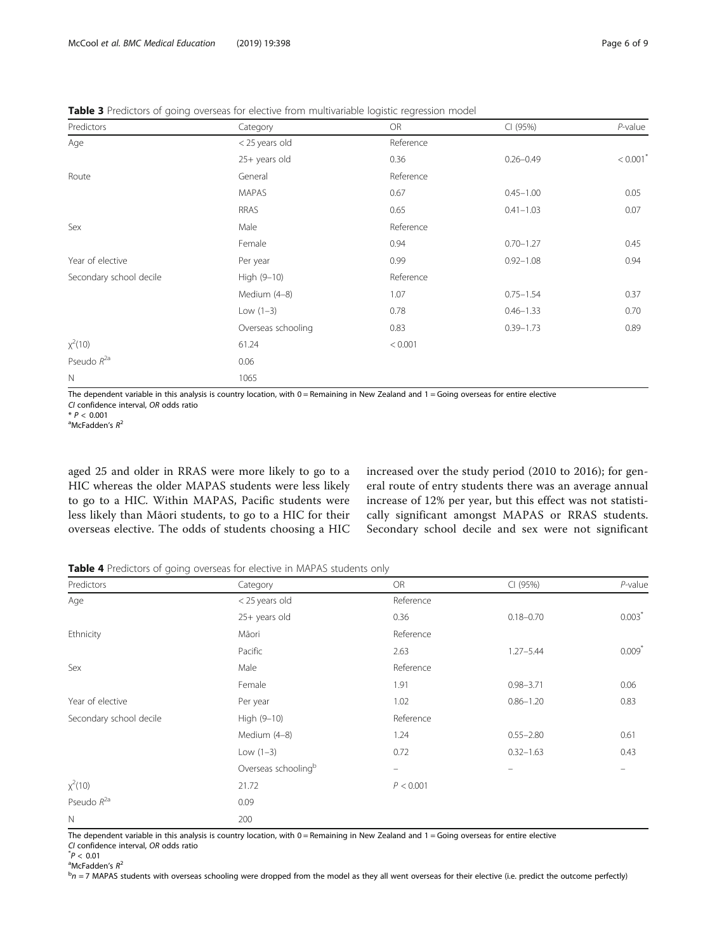<span id="page-5-0"></span>Table 3 Predictors of going overseas for elective from multivariable logistic regression model

| Predictors              | Category           | <b>OR</b>             | CI (95%)      | $P$ -value |  |  |  |
|-------------------------|--------------------|-----------------------|---------------|------------|--|--|--|
| Age<br>Sex              | < 25 years old     | Reference             |               |            |  |  |  |
|                         | 25+ years old      | 0.36                  | $0.26 - 0.49$ | < 0.001    |  |  |  |
| Route                   | General            | Reference             |               |            |  |  |  |
|                         | <b>MAPAS</b>       | 0.67                  | $0.45 - 1.00$ | 0.05       |  |  |  |
|                         | <b>RRAS</b>        | 0.65                  | $0.41 - 1.03$ | 0.07       |  |  |  |
|                         | Male               | Reference             |               |            |  |  |  |
|                         | Female             | 0.94                  | $0.70 - 1.27$ | 0.45       |  |  |  |
| Year of elective        | Per year           | 0.99                  | $0.92 - 1.08$ | 0.94       |  |  |  |
| Secondary school decile | High (9-10)        | Reference             |               |            |  |  |  |
|                         | Medium (4-8)       | 1.07<br>$0.75 - 1.54$ |               | 0.37       |  |  |  |
|                         | Low $(1-3)$        | 0.78                  | $0.46 - 1.33$ | 0.70       |  |  |  |
|                         | Overseas schooling | 0.83                  | $0.39 - 1.73$ | 0.89       |  |  |  |
| $x^2(10)$               | 61.24              | < 0.001               |               |            |  |  |  |
| Pseudo $R^{2a}$         | 0.06               |                       |               |            |  |  |  |
| $\mathbb N$             | 1065               |                       |               |            |  |  |  |

The dependent variable in this analysis is country location, with 0 = Remaining in New Zealand and 1 = Going overseas for entire elective CI confidence interval, OR odds ratio

 $*$  P < 0.001

<sup>a</sup>McFadden's  $R^2$ 

aged 25 and older in RRAS were more likely to go to a HIC whereas the older MAPAS students were less likely to go to a HIC. Within MAPAS, Pacific students were less likely than Māori students, to go to a HIC for their overseas elective. The odds of students choosing a HIC increased over the study period (2010 to 2016); for general route of entry students there was an average annual increase of 12% per year, but this effect was not statistically significant amongst MAPAS or RRAS students. Secondary school decile and sex were not significant

Table 4 Predictors of going overseas for elective in MAPAS students only

| Predictors              | Category            | OR                | CI (95%)          | $P$ -value |
|-------------------------|---------------------|-------------------|-------------------|------------|
| Age                     | < 25 years old      | Reference         |                   |            |
|                         | 25+ years old       | 0.36              | $0.18 - 0.70$     | $0.003*$   |
| Ethnicity               | Māori               | Reference         |                   |            |
|                         | Pacific             | 2.63              | $1.27 - 5.44$     | $0.009*$   |
| Sex                     | Male                | Reference         |                   |            |
|                         | Female              | 1.91              | $0.98 - 3.71$     | 0.06       |
| Year of elective        | Per year            | 1.02              | $0.86 - 1.20$     | 0.83       |
| Secondary school decile | High (9-10)         | Reference         |                   |            |
|                         | Medium (4-8)        | 1.24              | $0.55 - 2.80$     | 0.61       |
|                         | Low $(1-3)$         | 0.72              | $0.32 - 1.63$     | 0.43       |
|                         | Overseas schoolingb | $\qquad \qquad -$ | $\qquad \qquad =$ |            |
| $x^2(10)$               | 21.72               | P < 0.001         |                   |            |
| Pseudo $R^{2a}$         | 0.09                |                   |                   |            |
| $\mathbb N$             | 200                 |                   |                   |            |

The dependent variable in this analysis is country location, with 0 = Remaining in New Zealand and 1 = Going overseas for entire elective CI confidence interval, OR odds ratio \*

 $^{*}P < 0.01$ 

<sup>a</sup>McFadden's  $R^2$ 

 $b$ n = 7 MAPAS students with overseas schooling were dropped from the model as they all went overseas for their elective (i.e. predict the outcome perfectly)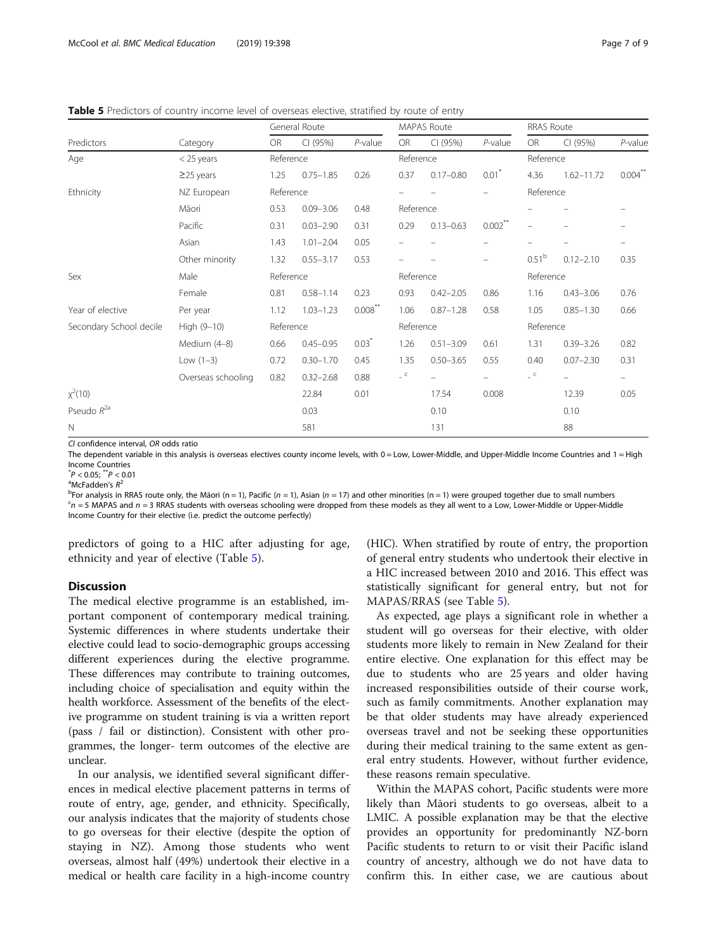<span id="page-6-0"></span>Table 5 Predictors of country income level of overseas elective, stratified by route of entry

|                         |                    | General Route |               | <b>MAPAS Route</b> |           |               | <b>RRAS Route</b>   |                   |                          |                          |  |
|-------------------------|--------------------|---------------|---------------|--------------------|-----------|---------------|---------------------|-------------------|--------------------------|--------------------------|--|
| Predictors              | Category           | <b>OR</b>     | CI (95%)      | $P$ -value         | <b>OR</b> | CI (95%)      | $P$ -value          | <b>OR</b>         | CI (95%)                 | $P$ -value               |  |
| Age                     | $<$ 25 years       |               | Reference     |                    |           | Reference     |                     |                   | Reference                |                          |  |
|                         | $\geq$ 25 years    | 1.25          | $0.75 - 1.85$ | 0.26               | 0.37      | $0.17 - 0.80$ | $0.01$ <sup>*</sup> | 4.36              | $1.62 - 11.72$           | $0.004***$               |  |
| Ethnicity               | NZ European        | Reference     |               |                    |           |               |                     | Reference         |                          |                          |  |
|                         | Māori              | 0.53          | $0.09 - 3.06$ | 0.48               | Reference |               |                     |                   |                          |                          |  |
|                         | Pacific            | 0.31          | $0.03 - 2.90$ | 0.31               | 0.29      | $0.13 - 0.63$ | $0.002$ **          | ÷                 |                          |                          |  |
|                         | Asian              | 1.43          | $1.01 - 2.04$ | 0.05               |           |               |                     |                   |                          |                          |  |
|                         | Other minority     | 1.32          | $0.55 - 3.17$ | 0.53               |           |               | -                   | 0.51 <sup>b</sup> | $0.12 - 2.10$            | 0.35                     |  |
| Sex                     | Male               | Reference     |               |                    | Reference |               |                     | Reference         |                          |                          |  |
|                         | Female             | 0.81          | $0.58 - 1.14$ | 0.23               | 0.93      | $0.42 - 2.05$ | 0.86                | 1.16              | $0.43 - 3.06$            | 0.76                     |  |
| Year of elective        | Per year           | 1.12          | $1.03 - 1.23$ | $0.008$ **         | 1.06      | $0.87 - 1.28$ | 0.58                | 1.05              | $0.85 - 1.30$            | 0.66                     |  |
| Secondary School decile | High (9-10)        |               | Reference     |                    |           | Reference     |                     |                   | Reference                |                          |  |
|                         | Medium (4-8)       | 0.66          | $0.45 - 0.95$ | $0.03*$            | 1.26      | $0.51 - 3.09$ | 0.61                | 1.31              | $0.39 - 3.26$            | 0.82                     |  |
|                         | Low $(1-3)$        | 0.72          | $0.30 - 1.70$ | 0.45               | 1.35      | $0.50 - 3.65$ | 0.55                | 0.40              | $0.07 - 2.30$            | 0.31                     |  |
|                         | Overseas schooling | 0.82          | $0.32 - 2.68$ | 0.88               | $\sim$    |               |                     | $\sim$            | $\overline{\phantom{0}}$ | $\overline{\phantom{0}}$ |  |
| $x^2(10)$               |                    |               | 22.84         | 0.01               |           | 17.54         | 0.008               |                   | 12.39                    | 0.05                     |  |
| Pseudo $R^{2a}$         |                    |               | 0.03          |                    |           | 0.10          |                     |                   | 0.10                     |                          |  |
| $\mathbb N$             |                    |               | 581           |                    |           | 131           |                     |                   | 88                       |                          |  |

CI confidence interval, OR odds ratio

The dependent variable in this analysis is overseas electives county income levels, with 0 = Low, Lower-Middle, and Upper-Middle Income Countries and 1 = High Income Countries

 $P < 0.05$ ;  $^{**}P < 0.01$ <br>aMcEaddon's  $P^2$ 

 $^{\circ}$ McFadden's  $R^2$ 

 $b^{\text{th}}$ For analysis in RRAS route only, the Māori (n = 1), Pacific (n = 1), Asian (n = 17) and other minorities (n = 1) were grouped together due to small numbers contact to a low and n = 3 PRAS students with overseas s  $c_{n}$  = 5 MAPAS and  $n = 3$  RRAS students with overseas schooling were dropped from these models as they all went to a Low, Lower-Middle or Upper-Middle Income Country for their elective (i.e. predict the outcome perfectly)

predictors of going to a HIC after adjusting for age, ethnicity and year of elective (Table 5).

#### Discussion

The medical elective programme is an established, important component of contemporary medical training. Systemic differences in where students undertake their elective could lead to socio-demographic groups accessing different experiences during the elective programme. These differences may contribute to training outcomes, including choice of specialisation and equity within the health workforce. Assessment of the benefits of the elective programme on student training is via a written report (pass / fail or distinction). Consistent with other programmes, the longer- term outcomes of the elective are unclear.

In our analysis, we identified several significant differences in medical elective placement patterns in terms of route of entry, age, gender, and ethnicity. Specifically, our analysis indicates that the majority of students chose to go overseas for their elective (despite the option of staying in NZ). Among those students who went overseas, almost half (49%) undertook their elective in a medical or health care facility in a high-income country

(HIC). When stratified by route of entry, the proportion of general entry students who undertook their elective in a HIC increased between 2010 and 2016. This effect was statistically significant for general entry, but not for MAPAS/RRAS (see Table 5).

As expected, age plays a significant role in whether a student will go overseas for their elective, with older students more likely to remain in New Zealand for their entire elective. One explanation for this effect may be due to students who are 25 years and older having increased responsibilities outside of their course work, such as family commitments. Another explanation may be that older students may have already experienced overseas travel and not be seeking these opportunities during their medical training to the same extent as general entry students. However, without further evidence, these reasons remain speculative.

Within the MAPAS cohort, Pacific students were more likely than Māori students to go overseas, albeit to a LMIC. A possible explanation may be that the elective provides an opportunity for predominantly NZ-born Pacific students to return to or visit their Pacific island country of ancestry, although we do not have data to confirm this. In either case, we are cautious about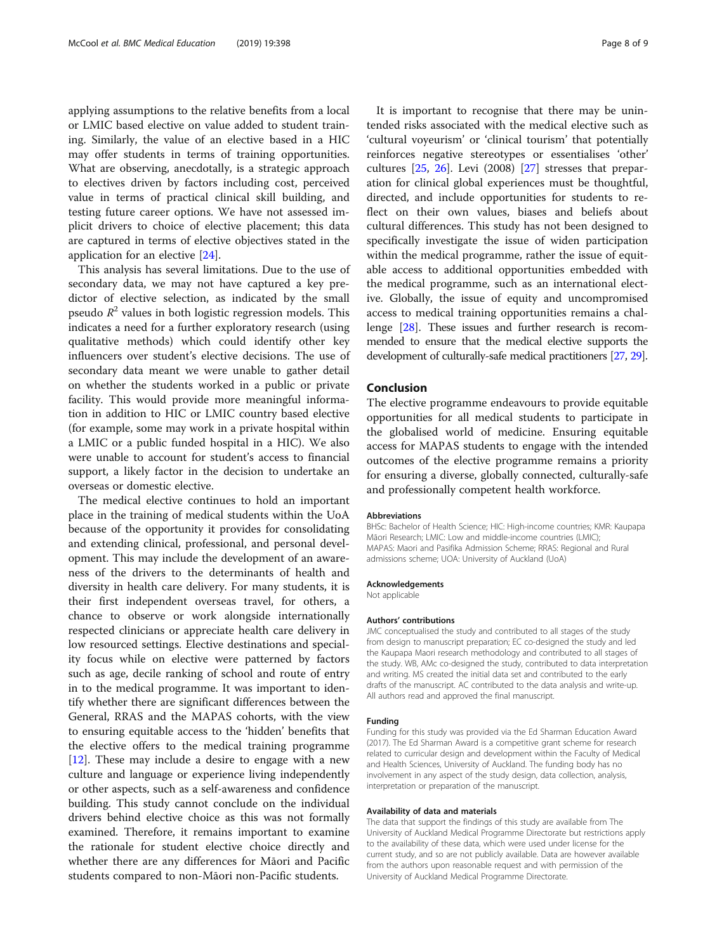applying assumptions to the relative benefits from a local or LMIC based elective on value added to student training. Similarly, the value of an elective based in a HIC may offer students in terms of training opportunities. What are observing, anecdotally, is a strategic approach to electives driven by factors including cost, perceived value in terms of practical clinical skill building, and testing future career options. We have not assessed implicit drivers to choice of elective placement; this data are captured in terms of elective objectives stated in the application for an elective [\[24](#page-8-0)].

This analysis has several limitations. Due to the use of secondary data, we may not have captured a key predictor of elective selection, as indicated by the small pseudo  $R^2$  values in both logistic regression models. This indicates a need for a further exploratory research (using qualitative methods) which could identify other key influencers over student's elective decisions. The use of secondary data meant we were unable to gather detail on whether the students worked in a public or private facility. This would provide more meaningful information in addition to HIC or LMIC country based elective (for example, some may work in a private hospital within a LMIC or a public funded hospital in a HIC). We also were unable to account for student's access to financial support, a likely factor in the decision to undertake an overseas or domestic elective.

The medical elective continues to hold an important place in the training of medical students within the UoA because of the opportunity it provides for consolidating and extending clinical, professional, and personal development. This may include the development of an awareness of the drivers to the determinants of health and diversity in health care delivery. For many students, it is their first independent overseas travel, for others, a chance to observe or work alongside internationally respected clinicians or appreciate health care delivery in low resourced settings. Elective destinations and speciality focus while on elective were patterned by factors such as age, decile ranking of school and route of entry in to the medical programme. It was important to identify whether there are significant differences between the General, RRAS and the MAPAS cohorts, with the view to ensuring equitable access to the 'hidden' benefits that the elective offers to the medical training programme [[12\]](#page-8-0). These may include a desire to engage with a new culture and language or experience living independently or other aspects, such as a self-awareness and confidence building. This study cannot conclude on the individual drivers behind elective choice as this was not formally examined. Therefore, it remains important to examine the rationale for student elective choice directly and whether there are any differences for Māori and Pacific students compared to non-Māori non-Pacific students.

It is important to recognise that there may be unintended risks associated with the medical elective such as 'cultural voyeurism' or 'clinical tourism' that potentially reinforces negative stereotypes or essentialises 'other' cultures [[25,](#page-8-0) [26\]](#page-8-0). Levi (2008) [[27](#page-8-0)] stresses that preparation for clinical global experiences must be thoughtful, directed, and include opportunities for students to reflect on their own values, biases and beliefs about cultural differences. This study has not been designed to specifically investigate the issue of widen participation within the medical programme, rather the issue of equitable access to additional opportunities embedded with the medical programme, such as an international elective. Globally, the issue of equity and uncompromised access to medical training opportunities remains a challenge [[28\]](#page-8-0). These issues and further research is recommended to ensure that the medical elective supports the development of culturally-safe medical practitioners [\[27](#page-8-0), [29](#page-8-0)].

#### Conclusion

The elective programme endeavours to provide equitable opportunities for all medical students to participate in the globalised world of medicine. Ensuring equitable access for MAPAS students to engage with the intended outcomes of the elective programme remains a priority for ensuring a diverse, globally connected, culturally-safe and professionally competent health workforce.

#### Abbreviations

BHSc: Bachelor of Health Science; HIC: High-income countries; KMR: Kaupapa Māori Research; LMIC: Low and middle-income countries (LMIC); MAPAS: Maori and Pasifika Admission Scheme; RRAS: Regional and Rural admissions scheme; UOA: University of Auckland (UoA)

#### Acknowledgements

Not applicable

#### Authors' contributions

JMC conceptualised the study and contributed to all stages of the study from design to manuscript preparation; EC co-designed the study and led the Kaupapa Maori research methodology and contributed to all stages of the study. WB, AMc co-designed the study, contributed to data interpretation and writing. MS created the initial data set and contributed to the early drafts of the manuscript. AC contributed to the data analysis and write-up. All authors read and approved the final manuscript.

#### Funding

Funding for this study was provided via the Ed Sharman Education Award (2017). The Ed Sharman Award is a competitive grant scheme for research related to curricular design and development within the Faculty of Medical and Health Sciences, University of Auckland. The funding body has no involvement in any aspect of the study design, data collection, analysis, interpretation or preparation of the manuscript.

#### Availability of data and materials

The data that support the findings of this study are available from The University of Auckland Medical Programme Directorate but restrictions apply to the availability of these data, which were used under license for the current study, and so are not publicly available. Data are however available from the authors upon reasonable request and with permission of the University of Auckland Medical Programme Directorate.